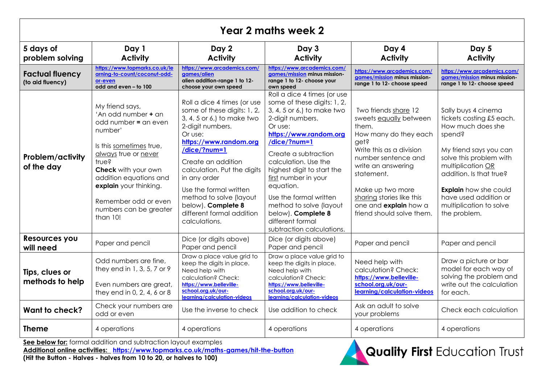| Year 2 maths week 2                        |                                                                                                                                                                                                                                                                                  |                                                                                                                                                                                                                                                                                                                                                                 |                                                                                                                                                                                                                                                                                                                                                                                                                  |                                                                                                                                                                                                                                                                                        |                                                                                                                                                                                                                                                                                         |  |  |
|--------------------------------------------|----------------------------------------------------------------------------------------------------------------------------------------------------------------------------------------------------------------------------------------------------------------------------------|-----------------------------------------------------------------------------------------------------------------------------------------------------------------------------------------------------------------------------------------------------------------------------------------------------------------------------------------------------------------|------------------------------------------------------------------------------------------------------------------------------------------------------------------------------------------------------------------------------------------------------------------------------------------------------------------------------------------------------------------------------------------------------------------|----------------------------------------------------------------------------------------------------------------------------------------------------------------------------------------------------------------------------------------------------------------------------------------|-----------------------------------------------------------------------------------------------------------------------------------------------------------------------------------------------------------------------------------------------------------------------------------------|--|--|
| 5 days of<br>problem solving               | Day 1<br><b>Activity</b>                                                                                                                                                                                                                                                         | Day 2<br><b>Activity</b>                                                                                                                                                                                                                                                                                                                                        | Day 3<br><b>Activity</b>                                                                                                                                                                                                                                                                                                                                                                                         | Day 4<br><b>Activity</b>                                                                                                                                                                                                                                                               | Day 5<br><b>Activity</b>                                                                                                                                                                                                                                                                |  |  |
| <b>Factual fluency</b><br>(to aid fluency) | https://www.topmarks.co.uk/le<br>arning-to-count/coconut-odd-<br>or-even<br>odd and even - to 100                                                                                                                                                                                | https://www.arcademics.com/<br>aames/alien<br>alien addition-range 1 to 12-<br>choose your own speed                                                                                                                                                                                                                                                            | https://www.arcademics.com/<br>aames/mission minus mission-<br>range 1 to 12- choose your<br>own speed                                                                                                                                                                                                                                                                                                           | https://www.arcademics.com/<br>aames/mission minus mission-<br>range 1 to 12- choose speed                                                                                                                                                                                             | https://www.arcademics.com/<br>games/mission minus mission-<br>range 1 to 12- choose speed                                                                                                                                                                                              |  |  |
| <b>Problem/activity</b><br>of the day      | My friend says,<br>'An odd number + an<br>odd number = an even<br>number'<br>Is this sometimes true,<br>always true or never<br>true?<br>Check with your own<br>addition equations and<br>explain your thinking.<br>Remember odd or even<br>numbers can be greater<br>than $10!$ | Roll a dice 4 times (or use<br>some of these digits: 1, 2,<br>3, 4, 5 or 6,) to make two<br>2-digit numbers.<br>Or use:<br>https://www.random.org<br>/dice/?num=1<br>Create an addition<br>calculation. Put the digits<br>in any order<br>Use the formal written<br>method to solve (layout<br>below). Complete 8<br>different formal addition<br>calculations. | Roll a dice 4 times (or use<br>some of these digits: 1, 2,<br>3, 4, 5 or 6,) to make two<br>2-digit numbers.<br>Or use:<br>https://www.random.org<br>/dice/?num=1<br>Create a subtraction<br>calculation. Use the<br>highest digit to start the<br>first number in your<br>equation.<br>Use the formal written<br>method to solve (layout<br>below). Complete 8<br>different formal<br>subtraction calculations. | Two friends share 12<br>sweets equally between<br>them.<br>How many do they each<br>get?<br>Write this as a division<br>number sentence and<br>write an answering<br>statement.<br>Make up two more<br>sharing stories like this<br>one and explain how a<br>friend should solve them. | Sally buys 4 cinema<br>tickets costing £5 each.<br>How much does she<br>spend?<br>My friend says you can<br>solve this problem with<br>multiplication OR<br>addition. Is that true?<br><b>Explain</b> how she could<br>have used addition or<br>multiplication to solve<br>the problem. |  |  |
| Resources you<br>will need                 | Paper and pencil                                                                                                                                                                                                                                                                 | Dice (or digits above)<br>Paper and pencil                                                                                                                                                                                                                                                                                                                      | Dice (or digits above)<br>Paper and pencil                                                                                                                                                                                                                                                                                                                                                                       | Paper and pencil                                                                                                                                                                                                                                                                       | Paper and pencil                                                                                                                                                                                                                                                                        |  |  |
| Tips, clues or<br>methods to help          | Odd numbers are fine.<br>they end in 1, 3, 5, 7 or 9<br>Even numbers are great,<br>they end in 0, 2, 4, 6 or 8                                                                                                                                                                   | Draw a place value grid to<br>keep the digits in place.<br>Need help with<br>calculation? Check:<br>https://www.belleville-<br>school.org.uk/our-<br>learning/calculation-videos                                                                                                                                                                                | Draw a place value grid to<br>keep the digits in place.<br>Need help with<br>calculation? Check:<br>https://www.belleville-<br>school.org.uk/our-<br>learning/calculation-videos                                                                                                                                                                                                                                 | Need help with<br>calculation? Check:<br>https://www.belleville-<br>school.org.uk/our-<br>learning/calculation-videos                                                                                                                                                                  | Draw a picture or bar<br>model for each way of<br>solving the problem and<br>write out the calculation<br>for each.                                                                                                                                                                     |  |  |
| Want to check?                             | Check your numbers are<br>odd or even                                                                                                                                                                                                                                            | Use the inverse to check                                                                                                                                                                                                                                                                                                                                        | Use addition to check                                                                                                                                                                                                                                                                                                                                                                                            | Ask an adult to solve<br>your problems                                                                                                                                                                                                                                                 | Check each calculation                                                                                                                                                                                                                                                                  |  |  |
| <b>Theme</b>                               | 4 operations                                                                                                                                                                                                                                                                     | 4 operations                                                                                                                                                                                                                                                                                                                                                    | 4 operations                                                                                                                                                                                                                                                                                                                                                                                                     | 4 operations                                                                                                                                                                                                                                                                           | 4 operations                                                                                                                                                                                                                                                                            |  |  |

**See below for:** formal addition and subtraction layout examples **Additional online activities: <https://www.topmarks.co.uk/maths-games/hit-the-button>**

**(Hit the Button - Halves - halves from 10 to 20, or halves to 100)**